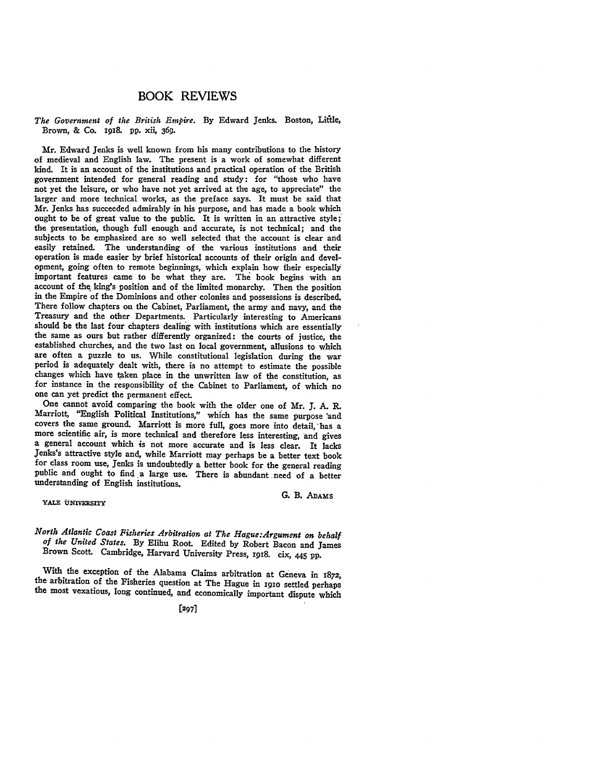*The Government of the British Empire.* **By** Edward Jenks. Boston, **Little,** Brown, **&** Co. i918. **pp.** xii, 369.

Mr. Edward Jenks is well known from his many contributions to the history of medieval and English law. The present is a work of somewhat different kind. It is an account of the institutions and practical operation of the British government intended for general reading and study: for "those who have not yet the leisure, or who have not yet arrived at the age, to appreciate" the larger and more technical works, as the preface says. It must be said that Mr. Jenks has succeeded admirably in his purpose, and has made a book which ought to be of great value to the public. It is written in an attractive style; the presentation, though full enough and accurate, is not technical; and the subjects to be emphasized are so well selected that the account is clear and easily retained. The understanding of the various institutions and their operation is made easier **by** brief historical accounts of their origin and development, going often to remote beginnings, which explain how their especially important features came to be what they are. The book begins with an account of the king's position and of the limited monarchy. Then the position in the Empire of the Dominions and other colonies and possessions is described. There follow chapters on the Cabinet, Parliament, the army and navy, and the Treasury and the other Departments. Particularly interesting to Americans should be the last four chapters dealing with institutions which are essentially the same as ours but rather differently organized: the courts of justice, the established churches, and the two last on local government, allusions to which are often a puzzle to us. While constitutional legislation during the war<br>period is adequately dealt with, there is no attempt to estimate the possible changes which have taken place in the unwritten law of the constitution, as for instance in the responsibility of the Cabinet to Parliament, of which no one can yet predict the permanent effect.

One cannot avoid comparing the book with the older one of Mr. **J. A.** R. covers the same ground. Marriott is more full, goes more into detail, has a more scientific air, is more technical and therefore less interesting, and gives a general account which is not more accurate and is less clear. I Jenks's attractive style and, while Marriott may perhaps be a better text book for class room use, Jenks is undoubtedly a better book for the general reading public and ought to find a large use. There is abundant need of a better understanding of English institutions.

## YALE UNIVERSITY

**G.** B. **AmAMS**

*North Atlantic Coast Fisheries Arbitration at The Hague:Argument on behalf of the United States.* By Elihu Root. Edited **by** Robert Bacon and James Brown Scott. Cambridge, Harvard University Press, **I9x8.** cix, 445 **pp.**

With the exception of the Alabama Claims arbitration at Geneva in **1872,** the arbitration of the Fisheries question at The Hague in **19IO** settled perhaps the most vexatious, long continued, and economically important dispute which

**[2971**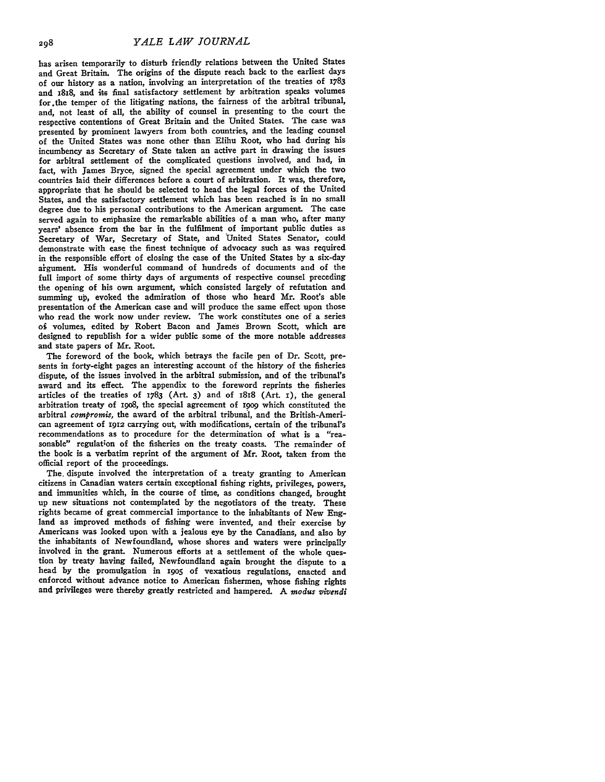has arisen temporarily to disturb friendly relations between the United States and Great Britain. The origins of the dispute reach back to the earliest days of our history as a nation, involving an interpretation of the treaties of 1783 and i818, and its final satisfactory settlement by arbitration speaks volumes for.the temper of the litigating nations, the fairness of the arbitral tribunal, and, not least of all, the ability of counsel in presenting to the court the respective contentions of Great Britain and the United States. The case was presented by prominent lawyers from both countries, and the leading counsel of the United States was none other than Elihu Root, who had during his incumbency as Secretary of State taken an active part in drawing the issues for arbitral settlement of the complicated questions involved, and had, in fact, with James Bryce, signed the special agreement under which the two countries laid their differences before a court of arbitration. It was, therefore, appropriate that he should be selected to head the legal forces of the United States, and the satisfactory settlement which has been reached is in no small degree due to his personal contributions to the American argument. The case served again to emphasize the remarkable abilities of a man who, after many years' absence from the bar in the fulfilment of important public duties as Secretary of War, Secretary of State, and United States Senator, could demonstrate with ease the finest technique of advocacy such as was required in the responsible effort of closing the case of the United States **by** a six-day argument. His wonderful command of hundreds of documents and of the full import of some thirty days of arguments of respective counsel preceding the opening of his own argument, which consisted largely of refutation and summing up, evoked the admiration of those who heard Mr. Root's able presentation of the American case and will produce the same effect upon those who read the work now under review. The work constitutes one of a series of volumes, edited **by** Robert Bacon and James Brown Scott, which are designed to republish for a wider public some of the more notable addresses and state papers of Mr. Root.

The foreword of the book, which betrays the facile pen of Dr. Scott, presents in forty-eight pages an interesting account of the history of the fisheries dispute, of the issues involved in the arbitral submission, and of the tribunal's award and its effect. The appendix to the foreword reprints the fisheries articles of the treaties of **1783** (Art. **3)** and of 1818 (Art. i), the general arbitration treaty of **i9o8,** the special agreement of igog which constituted the arbitral *compromis,* the award of the arbitral tribunal, and the British-American agreement of **1912** carrying out, with modifications, certain of the tribunal's recommendations as to procedure for the determination of what is a "reasonable" regulation of the fisheries on the treaty coasts. The remainder of the book is a verbatim reprint of the argument of Mr. Root, taken from the official report of the proceedings.

The. dispute involved the interpretation of a treaty granting to American citizens in Canadian waters certain exceptional fishing rights, privileges, powers, and immunities which, in the course of time, as conditions changed, brought up new situations not contemplated **by** the negotiators of the treaty. These rights became of great commercial importance to the inhabitants of New England as improved methods of fishing were invented, and their exercise **by** Americans was looked upon with a jealous eye **by** the Canadians, and also **by** the inhabitants of Newfoundland, whose shores and waters were principally involved in the grant. Numerous efforts at a settlement of the whole question **by** treaty having failed, Newfoundland again brought the dispute to a head **by** the promulgation in rgo5 of vexatious regulations, enacted and enforced without advance notice to American fishermen, whose fishing rights and privileges were thereby greatly restricted and hampered. A *modus vivendi*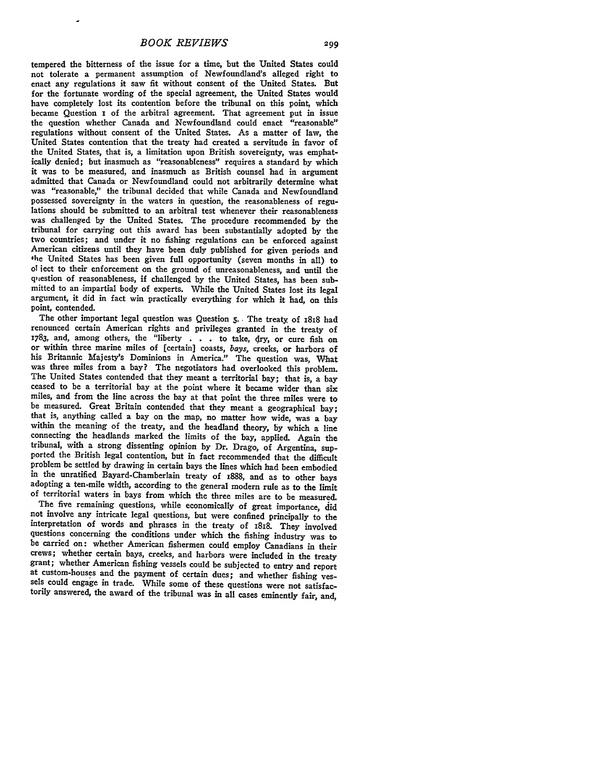tempered the bitterness of the issue for a time, but the United States could not tolerate a permanent assumption of Newfoundland's alleged right to enact any regulations it saw fit without consent of the United States. But for the fortunate wording of the special agreement, the United States would have completely lost its contention before the tribunal on this point, which became Question **i** of the arbitral agreement. That agreement put in issue the question whether Canada and Newfoundland could enact "reasonable" regulations without consent of the United States. As a matter of law, the United States contention that the treaty had created a servitude in favor of the United States, that is, a limitation upon British sovereignty, was emphat- ically denied; but inasmuch as "reasonableness" requires a standard **by** which admitted that Canada or Newfoundland could not arbitrarily determine what was "reasonable," the tribunal decided that while Canada and Newfoundland possessed sovereignty in the waters in question, the reasonableness of reg lations should be submitted to an arbitral test whenever their reasonableness<br>was challenged by the United States. The procedure recommended by the tribunal for carrying out this award has been substantially adopted **by** the two countries; and under it no fishing regulations can be enforced against American citizens until they have been duly published for given periods and +he United States has been given full opportunity (seven months in all) to ol iect to their enforcement on the ground of unreasonableness, and until the question of reasonableness, if challenged **by** the United States, has been submitted to an impartial body of experts. While the United States lost its legal argument, it did in fact win practically everything for which it had, on this point, contended.

The other important legal question was Question **5.** The treaty of 18iS had renounced certain American rights and privileges granted in the treaty of 1783, and, among others, the "liberty **. . .** to take, dry, or cure fish on or within three marine miles of [certain] coasts, *bays,* creeks, or harbors of his Britannic Majesty's Dominions in America." The question was, What was three miles from a bay? The negotiators had overlooked this problem. The United States contended that they meant a territorial bay; that is, a bay ceased to be a territorial bay at the point where it became wider than six miles, and from the line across the bay at that point the three miles were to be measured. Great Britain contended that they meant a geographical bay; that is, anything called a bay on the map, no matter how wide, was a bay within the meaning of the treaty, and the headland theory, **by** which a line connecting the headlands marked the limits of the bay, applied. Again the tribunal, with a strong dissenting opinion **by** Dr. Drago, of Argentina, sup- ported the British legal contention, but in fact recommended that the difficult problem be settled **by** drawing in certain bays the lines which had been embodied in the unratified Bayard-Chamberlain treaty of 1888, and as to other bays adopting a ten-mile width, according to the general modern rule as to the limit of territorial waters in bays from which the three miles are to be measured.

The five remaining questions, while economically of great importance, did not involve any intricate legal questions, but were confined principally to the interpretation of words and phrases in the treaty of i818. They involved questions concerning the conditions under which the fishing industry was to be carried on: whether American fishermen could employ Canadians in their crews; whether certain bays, creeks, and harbors were included in the treaty grant; whether American fishing vessels could be subjected to entry and report at custom-houses and the payment of certain dues; and whether fishing ves- sels could engage in trade. While some of these questions were not satisfactorily answered, the award of the tribunal was in all cases eminently fair, and,